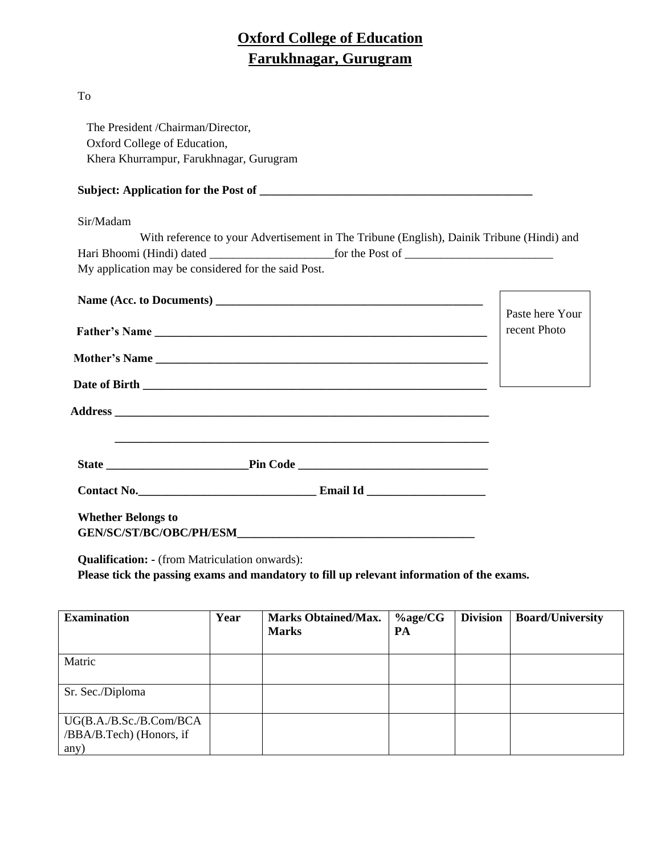# **Oxford College of Education Farukhnagar, Gurugram**

#### To

 The President /Chairman/Director, Oxford College of Education, Khera Khurrampur, Farukhnagar, Gurugram

# **Subject: Application for the Post of \_\_\_\_\_\_\_\_\_\_\_\_\_\_\_\_\_\_\_\_\_\_\_\_\_\_\_\_\_\_\_\_\_\_\_\_\_\_\_\_\_\_\_\_\_\_**

#### Sir/Madam

| With reference to your Advertisement in The Tribune (English), Dainik Tribune (Hindi) and |                 |
|-------------------------------------------------------------------------------------------|-----------------|
|                                                                                           |                 |
| My application may be considered for the said Post.                                       |                 |
|                                                                                           |                 |
|                                                                                           | Paste here Your |
|                                                                                           | recent Photo    |
|                                                                                           |                 |
|                                                                                           |                 |
|                                                                                           |                 |

**Contact No.\_\_\_\_\_\_\_\_\_\_\_\_\_\_\_\_\_\_\_\_\_\_\_\_\_\_\_\_\_\_ Email Id \_\_\_\_\_\_\_\_\_\_\_\_\_\_\_\_\_\_\_\_**

**State \_\_\_\_\_\_\_\_\_\_\_\_\_\_\_\_\_\_\_\_\_\_\_\_Pin Code \_\_\_\_\_\_\_\_\_\_\_\_\_\_\_\_\_\_\_\_\_\_\_\_\_\_\_\_\_\_\_\_**

**Whether Belongs to GEN/SC/ST/BC/OBC/PH/ESM\_\_\_\_\_\_\_\_\_\_\_\_\_\_\_\_\_\_\_\_\_\_\_\_\_\_\_\_\_\_\_\_\_\_\_\_\_\_\_\_**

**Qualification: -** (from Matriculation onwards):

**Please tick the passing exams and mandatory to fill up relevant information of the exams.**

| <b>Examination</b>                                          | Year | <b>Marks Obtained/Max.</b><br><b>Marks</b> | $\%$ age/CG<br>PA | <b>Division</b> | <b>Board/University</b> |
|-------------------------------------------------------------|------|--------------------------------------------|-------------------|-----------------|-------------------------|
| Matric                                                      |      |                                            |                   |                 |                         |
| Sr. Sec./Diploma                                            |      |                                            |                   |                 |                         |
| UG(B.A./B.Sc./B.Com/BCA<br>/BBA/B.Tech) (Honors, if<br>any) |      |                                            |                   |                 |                         |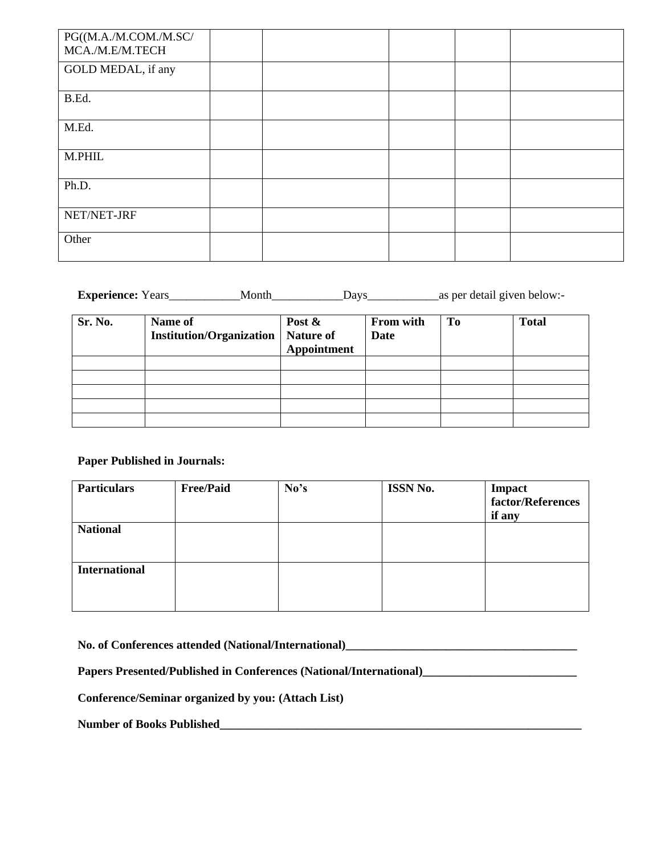| PG((M.A./M.COM./M.SC/<br>MCA./M.E/M.TECH |  |  |  |
|------------------------------------------|--|--|--|
| GOLD MEDAL, if any                       |  |  |  |
| B.Ed.                                    |  |  |  |
| M.Ed.                                    |  |  |  |
| M.PHIL                                   |  |  |  |
| Ph.D.                                    |  |  |  |
| NET/NET-JRF                              |  |  |  |
| Other                                    |  |  |  |

| <b>Experience:</b> Years |  |  | Davs |  |  |  | as per detail given below:- |
|--------------------------|--|--|------|--|--|--|-----------------------------|
|--------------------------|--|--|------|--|--|--|-----------------------------|

| Sr. No. | Name of<br><b>Institution/Organization</b> | Post $\&$<br>Nature of<br>Appointment | From with<br><b>Date</b> | To | <b>Total</b> |
|---------|--------------------------------------------|---------------------------------------|--------------------------|----|--------------|
|         |                                            |                                       |                          |    |              |
|         |                                            |                                       |                          |    |              |
|         |                                            |                                       |                          |    |              |
|         |                                            |                                       |                          |    |              |
|         |                                            |                                       |                          |    |              |

## **Paper Published in Journals:**

| <b>Particulars</b>   | <b>Free/Paid</b> | No's | ISSN No. | Impact<br>factor/References<br>if any |
|----------------------|------------------|------|----------|---------------------------------------|
| <b>National</b>      |                  |      |          |                                       |
| <b>International</b> |                  |      |          |                                       |

**No. of Conferences attended (National/International)\_\_\_\_\_\_\_\_\_\_\_\_\_\_\_\_\_\_\_\_\_\_\_\_\_\_\_\_\_\_\_\_\_\_\_\_\_\_\_**

**Papers Presented/Published in Conferences (National/International)\_\_\_\_\_\_\_\_\_\_\_\_\_\_\_\_\_\_\_\_\_\_\_\_\_\_**

**Conference/Seminar organized by you: (Attach List)**

**Number of Books Published\_\_\_\_\_\_\_\_\_\_\_\_\_\_\_\_\_\_\_\_\_\_\_\_\_\_\_\_\_\_\_\_\_\_\_\_\_\_\_\_\_\_\_\_\_\_\_\_\_\_\_\_\_\_\_\_\_\_\_\_\_**